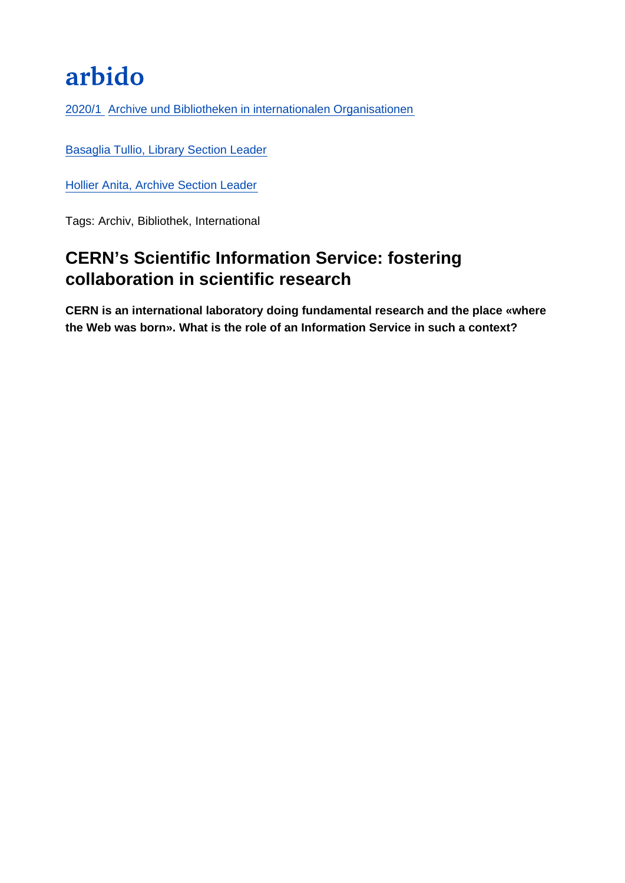# arbido

[2020/1 Archive und Bibliotheken in internationalen Organisationen](https://arbido.ch/de/ausgaben-artikel/2020/archive-und-bibliotheken-in-internationalen-organisationen)

[Basaglia Tullio, Library Section Leader](https://arbido.ch/de/autoren/basaglia-tullio)

[Hollier Anita, Archive Section Leader](https://arbido.ch/de/autoren/hollier-anita)

Tags: Archiv, Bibliothek, International

## CERN's Scientific Information Service: fostering collaboration in scientific research

CERN is an international laboratory doing fundamental research and the place «where the Web was born». What is the role of an Information Service in such a context?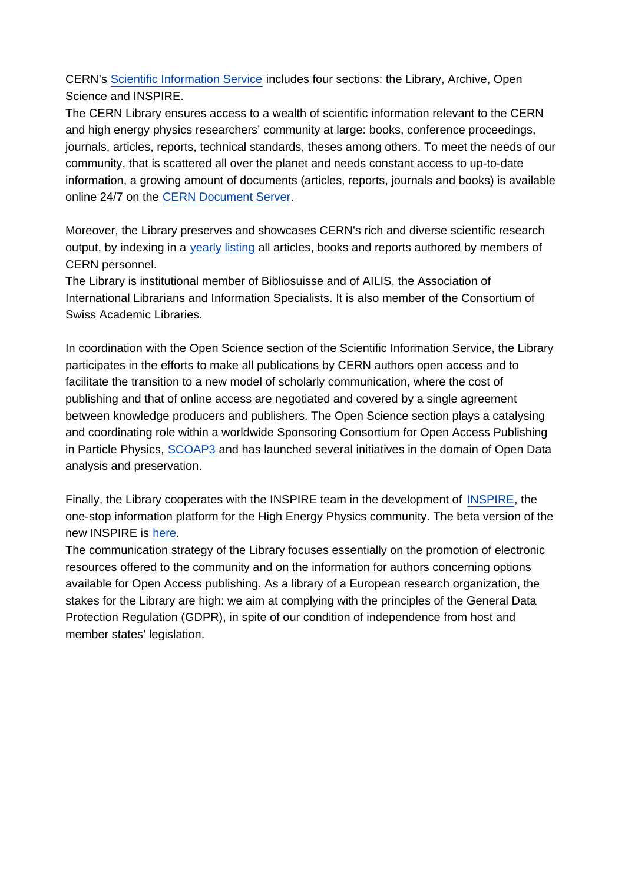CERN's [Scientific Information Service](http://library.cern/archives) includes four sections: the Library, Archive, Open Science and INSPIRE.

The CERN Library ensures access to a wealth of scientific information relevant to the CERN and high energy physics researchers' community at large: books, conference proceedings, journals, articles, reports, technical standards, theses among others. To meet the needs of our community, that is scattered all over the planet and needs constant access to up-to-date information, a growing amount of documents (articles, reports, journals and books) is available online 24/7 on the [CERN Document Server](http://cds.cern.ch).

Moreover, the Library preserves and showcases CERN's rich and diverse scientific research output, by indexing in a [yearly listing](http://library.cern/annual-reports) all articles, books and reports authored by members of CERN personnel.

The Library is institutional member of Bibliosuisse and of AILIS, the Association of International Librarians and Information Specialists. It is also member of the Consortium of Swiss Academic Libraries.

In coordination with the Open Science section of the Scientific Information Service, the Library participates in the efforts to make all publications by CERN authors open access and to facilitate the transition to a new model of scholarly communication, where the cost of publishing and that of online access are negotiated and covered by a single agreement between knowledge producers and publishers. The Open Science section plays a catalysing and coordinating role within a worldwide Sponsoring Consortium for Open Access Publishing in Particle Physics, [SCOAP3](http://scoap3.org) and has launched several initiatives in the domain of Open Data analysis and preservation.

Finally, the Library cooperates with the INSPIRE team in the development of [INSPIRE](http://inspirehep.net), the one-stop information platform for the High Energy Physics community. The beta version of the new INSPIRE is [here](http://labs.inspirehep.net/).

The communication strategy of the Library focuses essentially on the promotion of electronic resources offered to the community and on the information for authors concerning options available for Open Access publishing. As a library of a European research organization, the stakes for the Library are high: we aim at complying with the principles of the General Data Protection Regulation (GDPR), in spite of our condition of independence from host and member states' legislation.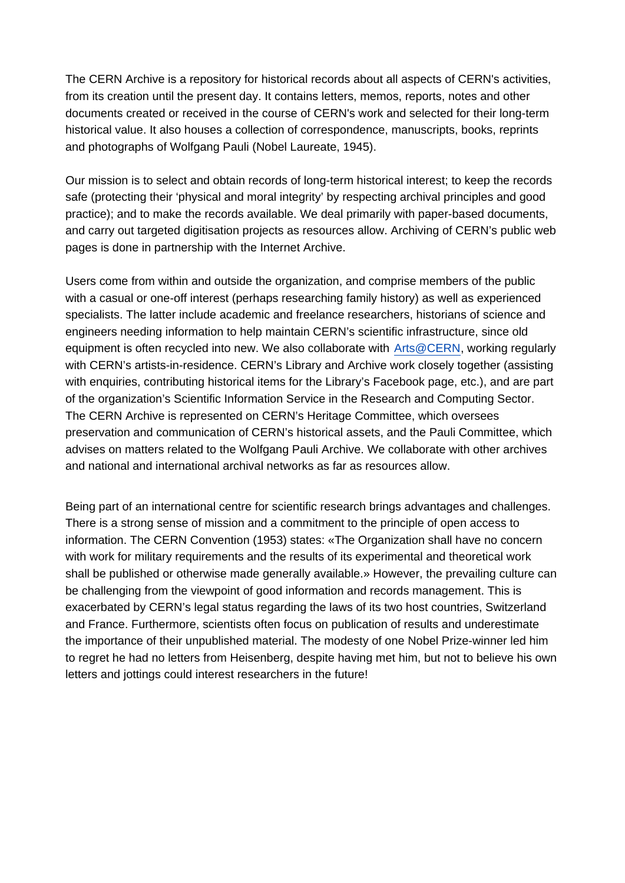The CERN Archive is a repository for historical records about all aspects of CERN's activities, from its creation until the present day. It contains letters, memos, reports, notes and other documents created or received in the course of CERN's work and selected for their long-term historical value. It also houses a collection of correspondence, manuscripts, books, reprints and photographs of Wolfgang Pauli (Nobel Laureate, 1945).

Our mission is to select and obtain records of long-term historical interest; to keep the records safe (protecting their 'physical and moral integrity' by respecting archival principles and good practice); and to make the records available. We deal primarily with paper-based documents, and carry out targeted digitisation projects as resources allow. Archiving of CERN's public web pages is done in partnership with the Internet Archive.

Users come from within and outside the organization, and comprise members of the public with a casual or one-off interest (perhaps researching family history) as well as experienced specialists. The latter include academic and freelance researchers, historians of science and engineers needing information to help maintain CERN's scientific infrastructure, since old equipment is often recycled into new. We also collaborate with [Arts@CERN,](http://arts.cern/) working regularly with CERN's artists-in-residence. CERN's Library and Archive work closely together (assisting with enquiries, contributing historical items for the Library's Facebook page, etc.), and are part of the organization's Scientific Information Service in the Research and Computing Sector. The CERN Archive is represented on CERN's Heritage Committee, which oversees preservation and communication of CERN's historical assets, and the Pauli Committee, which advises on matters related to the Wolfgang Pauli Archive. We collaborate with other archives and national and international archival networks as far as resources allow.

Being part of an international centre for scientific research brings advantages and challenges. There is a strong sense of mission and a commitment to the principle of open access to information. The CERN Convention (1953) states: «The Organization shall have no concern with work for military requirements and the results of its experimental and theoretical work shall be published or otherwise made generally available.» However, the prevailing culture can be challenging from the viewpoint of good information and records management. This is exacerbated by CERN's legal status regarding the laws of its two host countries, Switzerland and France. Furthermore, scientists often focus on publication of results and underestimate the importance of their unpublished material. The modesty of one Nobel Prize-winner led him to regret he had no letters from Heisenberg, despite having met him, but not to believe his own letters and jottings could interest researchers in the future!